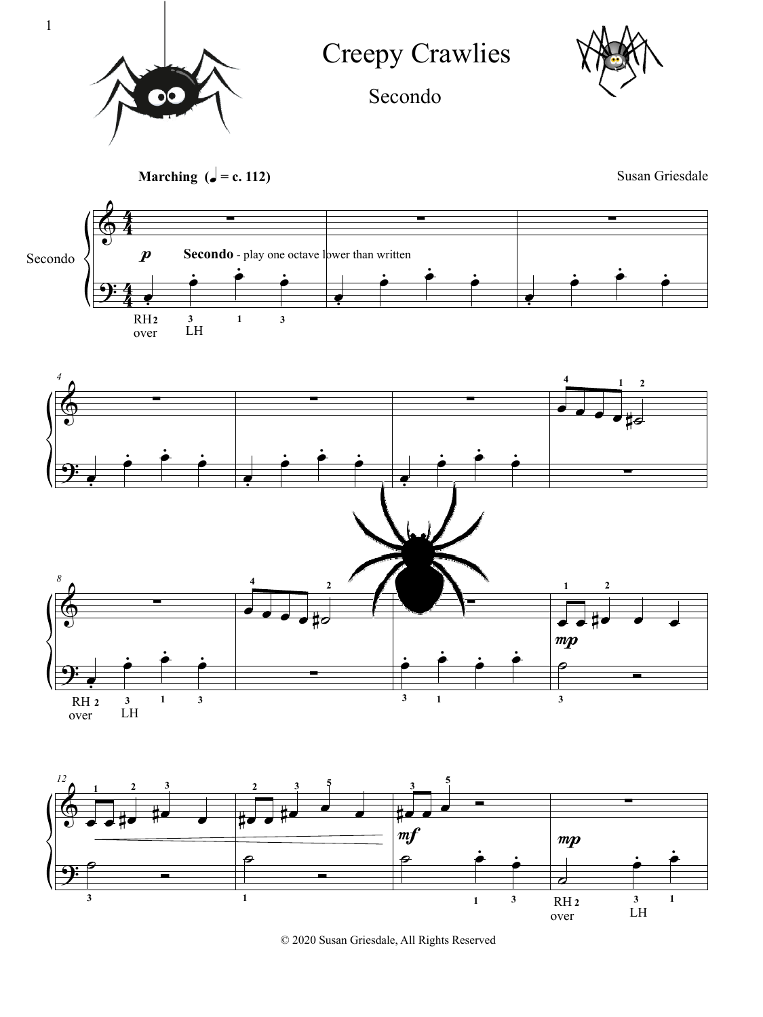

Creepy Crawlies



Secondo



© 2020 Susan Griesdale, All Rights Reserved

1